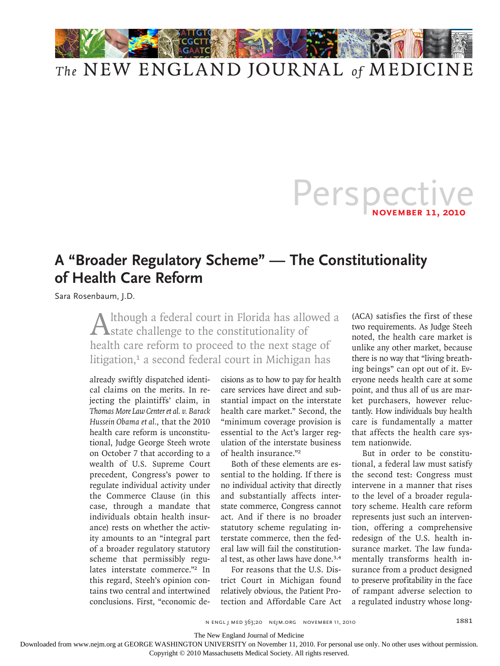

## *The* NEW ENGLAND JOURNAL *of* MEDICINE

## Perspective

## **A "Broader Regulatory Scheme" — The Constitutionality of Health Care Reform**

Sara Rosenbaum, J.D.

Although a federal court in Florida has allowed a state challenge to the constitutionality of health care reform to proceed to the next stage of litigation,<sup>1</sup> a second federal court in Michigan has

already swiftly dispatched identical claims on the merits. In rejecting the plaintiffs' claim, in *Thomas More Law Center et al. v. Barack Hussein Obama et al.*, that the 2010 health care reform is unconstitutional, Judge George Steeh wrote on October 7 that according to a wealth of U.S. Supreme Court precedent, Congress's power to regulate individual activity under the Commerce Clause (in this case, through a mandate that individuals obtain health insurance) rests on whether the activity amounts to an "integral part of a broader regulatory statutory scheme that permissibly regulates interstate commerce."2 In this regard, Steeh's opinion contains two central and intertwined conclusions. First, "economic decisions as to how to pay for health care services have direct and substantial impact on the interstate health care market." Second, the "minimum coverage provision is essential to the Act's larger regulation of the interstate business of health insurance."<sup>2</sup>

Both of these elements are essential to the holding. If there is no individual activity that directly and substantially affects interstate commerce, Congress cannot act. And if there is no broader statutory scheme regulating interstate commerce, then the federal law will fail the constitutional test, as other laws have done.<sup>3,4</sup>

For reasons that the U.S. District Court in Michigan found relatively obvious, the Patient Protection and Affordable Care Act (ACA) satisfies the first of these two requirements. As Judge Steeh noted, the health care market is unlike any other market, because there is no way that "living breathing beings" can opt out of it. Everyone needs health care at some point, and thus all of us are market purchasers, however reluctantly. How individuals buy health care is fundamentally a matter that affects the health care system nationwide.

But in order to be constitutional, a federal law must satisfy the second test: Congress must intervene in a manner that rises to the level of a broader regulatory scheme. Health care reform represents just such an intervention, offering a comprehensive redesign of the U.S. health insurance market. The law fundamentally transforms health insurance from a product designed to preserve profitability in the face of rampant adverse selection to a regulated industry whose long-

The New England Journal of Medicine

Downloaded from www.nejm.org at GEORGE WASHINGTON UNIVERSITY on November 11, 2010. For personal use only. No other uses without permission.

Copyright © 2010 Massachusetts Medical Society. All rights reserved.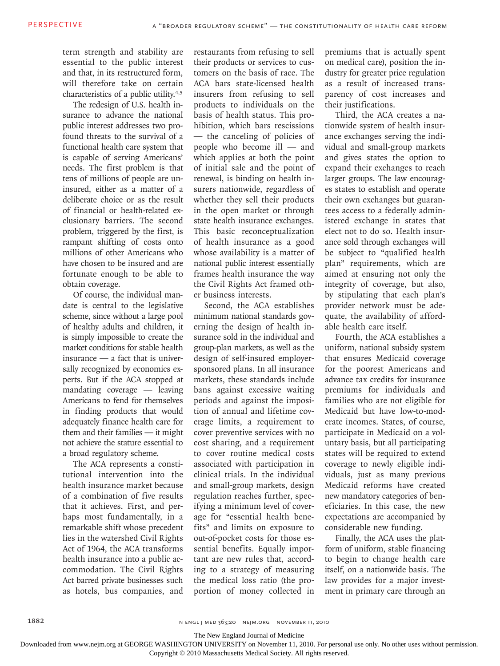term strength and stability are essential to the public interest and that, in its restructured form, will therefore take on certain characteristics of a public utility.4,5

The redesign of U.S. health insurance to advance the national public interest addresses two profound threats to the survival of a functional health care system that is capable of serving Americans' needs. The first problem is that tens of millions of people are uninsured, either as a matter of a deliberate choice or as the result of financial or health-related exclusionary barriers. The second problem, triggered by the first, is rampant shifting of costs onto millions of other Americans who have chosen to be insured and are fortunate enough to be able to obtain coverage.

Of course, the individual mandate is central to the legislative scheme, since without a large pool of healthy adults and children, it is simply impossible to create the market conditions for stable health insurance — a fact that is universally recognized by economics experts. But if the ACA stopped at mandating coverage — leaving Americans to fend for themselves in finding products that would adequately finance health care for them and their families — it might not achieve the stature essential to a broad regulatory scheme.

The ACA represents a constitutional intervention into the health insurance market because of a combination of five results that it achieves. First, and perhaps most fundamentally, in a remarkable shift whose precedent lies in the watershed Civil Rights Act of 1964, the ACA transforms health insurance into a public accommodation. The Civil Rights Act barred private businesses such as hotels, bus companies, and

restaurants from refusing to sell their products or services to customers on the basis of race. The ACA bars state-licensed health insurers from refusing to sell products to individuals on the basis of health status. This prohibition, which bars rescissions — the canceling of policies of people who become ill — and which applies at both the point of initial sale and the point of renewal, is binding on health insurers nationwide, regardless of whether they sell their products in the open market or through state health insurance exchanges. This basic reconceptualization of health insurance as a good whose availability is a matter of national public interest essentially frames health insurance the way the Civil Rights Act framed other business interests.

Second, the ACA establishes minimum national standards governing the design of health insurance sold in the individual and group-plan markets, as well as the design of self-insured employersponsored plans. In all insurance markets, these standards include bans against excessive waiting periods and against the imposition of annual and lifetime coverage limits, a requirement to cover preventive services with no cost sharing, and a requirement to cover routine medical costs associated with participation in clinical trials. In the individual and small-group markets, design regulation reaches further, specifying a minimum level of coverage for "essential health benefits" and limits on exposure to out-of-pocket costs for those essential benefits. Equally important are new rules that, according to a strategy of measuring the medical loss ratio (the proportion of money collected in premiums that is actually spent on medical care), position the industry for greater price regulation as a result of increased transparency of cost increases and their justifications.

Third, the ACA creates a nationwide system of health insurance exchanges serving the individual and small-group markets and gives states the option to expand their exchanges to reach larger groups. The law encourages states to establish and operate their own exchanges but guarantees access to a federally administered exchange in states that elect not to do so. Health insurance sold through exchanges will be subject to "qualified health plan" requirements, which are aimed at ensuring not only the integrity of coverage, but also, by stipulating that each plan's provider network must be adequate, the availability of affordable health care itself.

Fourth, the ACA establishes a uniform, national subsidy system that ensures Medicaid coverage for the poorest Americans and advance tax credits for insurance premiums for individuals and families who are not eligible for Medicaid but have low-to-moderate incomes. States, of course, participate in Medicaid on a voluntary basis, but all participating states will be required to extend coverage to newly eligible individuals, just as many previous Medicaid reforms have created new mandatory categories of beneficiaries. In this case, the new expectations are accompanied by considerable new funding.

Finally, the ACA uses the platform of uniform, stable financing to begin to change health care itself, on a nationwide basis. The law provides for a major investment in primary care through an

The New England Journal of Medicine

Downloaded from www.nejm.org at GEORGE WASHINGTON UNIVERSITY on November 11, 2010. For personal use only. No other uses without permission.

Copyright © 2010 Massachusetts Medical Society. All rights reserved.